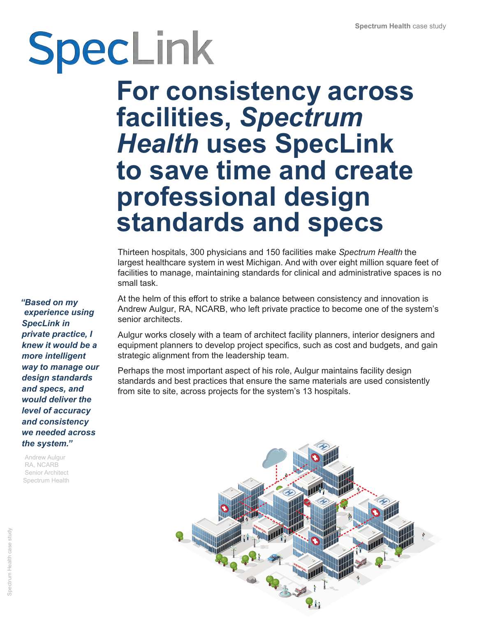## SpecLink **For consistency across facilities,** *Spectrum Health* **uses SpecLink to save time and create professional design standards and specs**

Thirteen hospitals, 300 physicians and 150 facilities make *Spectrum Health* the largest healthcare system in west Michigan. And with over eight million square feet of facilities to manage, maintaining standards for clinical and administrative spaces is no small task.

At the helm of this effort to strike a balance between consistency and innovation is Andrew Aulgur, RA, NCARB, who left private practice to become one of the system's senior architects.

Aulgur works closely with a team of architect facility planners, interior designers and equipment planners to develop project specifics, such as cost and budgets, and gain strategic alignment from the leadership team.

Perhaps the most important aspect of his role, Aulgur maintains facility design standards and best practices that ensure the same materials are used consistently from site to site, across projects for the system's 13 hospitals.



*"Based on my experience using SpecLink in private practice, I knew it would be a more intelligent way to manage our design standards and specs, and would deliver the level of accuracy and consistency we needed across the system."*

Andrew Aulgur RA, NCARB Senior Architect Spectrum Health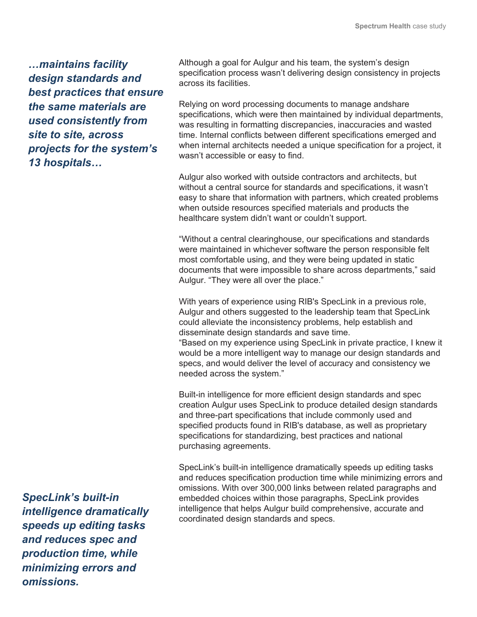*…maintains facility design standards and best practices that ensure the same materials are used consistently from site to site, across projects for the system's 13 hospitals…*

*SpecLink's built-in intelligence dramatically speeds up editing tasks and reduces spec and production time, while minimizing errors and omissions.*

Although a goal for Aulgur and his team, the system's design specification process wasn't delivering design consistency in projects across its facilities.

Relying on word processing documents to manage andshare specifications, which were then maintained by individual departments, was resulting in formatting discrepancies, inaccuracies and wasted time. Internal conflicts between different specifications emerged and when internal architects needed a unique specification for a project, it wasn't accessible or easy to find.

Aulgur also worked with outside contractors and architects, but without a central source for standards and specifications, it wasn't easy to share that information with partners, which created problems when outside resources specified materials and products the healthcare system didn't want or couldn't support.

"Without a central clearinghouse, our specifications and standards were maintained in whichever software the person responsible felt most comfortable using, and they were being updated in static documents that were impossible to share across departments," said Aulgur. "They were all over the place."

With years of experience using RIB's SpecLink in a previous role, Aulgur and others suggested to the leadership team that SpecLink could alleviate the inconsistency problems, help establish and disseminate design standards and save time.

"Based on my experience using SpecLink in private practice, I knew it would be a more intelligent way to manage our design standards and specs, and would deliver the level of accuracy and consistency we needed across the system."

Built-in intelligence for more efficient design standards and spec creation Aulgur uses SpecLink to produce detailed design standards and three-part specifications that include commonly used and specified products found in RIB's database, as well as proprietary specifications for standardizing, best practices and national purchasing agreements.

SpecLink's built-in intelligence dramatically speeds up editing tasks and reduces specification production time while minimizing errors and omissions. With over 300,000 links between related paragraphs and embedded choices within those paragraphs, SpecLink provides intelligence that helps Aulgur build comprehensive, accurate and coordinated design standards and specs.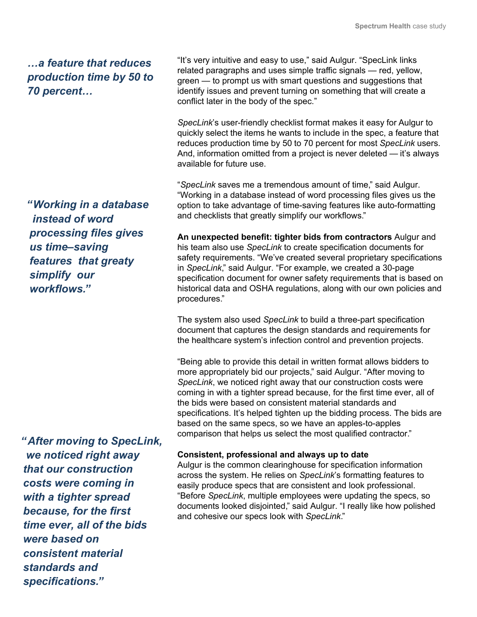*…a feature that reduces production time by 50 to 70 percent…*

*"Working in a database instead of word processing files gives us time–saving features that greaty simplify our workflows."*

*"After moving to SpecLink, we noticed right away that our construction costs were coming in with a tighter spread because, for the first time ever, all of the bids were based on consistent material standards and specifications."*

"It's very intuitive and easy to use," said Aulgur. "SpecLink links related paragraphs and uses simple traffic signals — red, yellow, green — to prompt us with smart questions and suggestions that identify issues and prevent turning on something that will create a conflict later in the body of the spec."

*SpecLink*'s user-friendly checklist format makes it easy for Aulgur to quickly select the items he wants to include in the spec, a feature that reduces production time by 50 to 70 percent for most *SpecLink* users. And, information omitted from a project is never deleted — it's always available for future use.

"*SpecLink* saves me a tremendous amount of time," said Aulgur. "Working in a database instead of word processing files gives us the option to take advantage of time-saving features like auto-formatting and checklists that greatly simplify our workflows."

**An unexpected benefit: tighter bids from contractors** Aulgur and his team also use *SpecLink* to create specification documents for safety requirements. "We've created several proprietary specifications in *SpecLink*," said Aulgur. "For example, we created a 30-page specification document for owner safety requirements that is based on historical data and OSHA regulations, along with our own policies and procedures."

The system also used *SpecLink* to build a three-part specification document that captures the design standards and requirements for the healthcare system's infection control and prevention projects.

"Being able to provide this detail in written format allows bidders to more appropriately bid our projects," said Aulgur. "After moving to *SpecLink*, we noticed right away that our construction costs were coming in with a tighter spread because, for the first time ever, all of the bids were based on consistent material standards and specifications. It's helped tighten up the bidding process. The bids are based on the same specs, so we have an apples-to-apples comparison that helps us select the most qualified contractor."

## **Consistent, professional and always up to date**

Aulgur is the common clearinghouse for specification information across the system. He relies on *SpecLink*'s formatting features to easily produce specs that are consistent and look professional. "Before *SpecLink*, multiple employees were updating the specs, so documents looked disjointed," said Aulgur. "I really like how polished and cohesive our specs look with *SpecLink*."